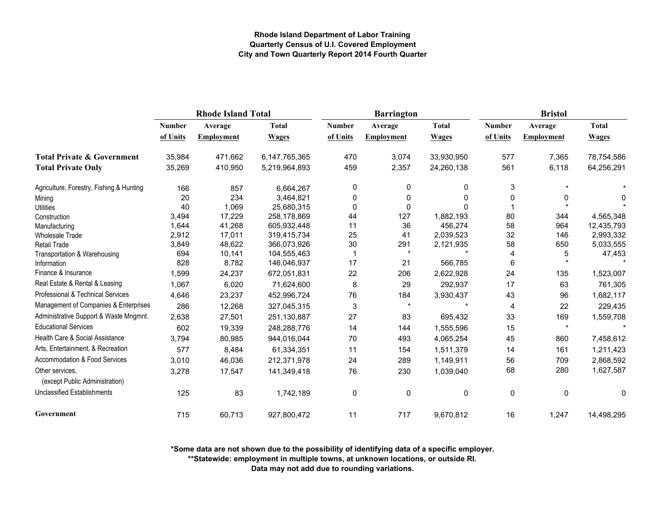|                                                   | <b>Rhode Island Total</b> |                   |               |               | <b>Barrington</b> |              | <b>Bristol</b> |            |              |
|---------------------------------------------------|---------------------------|-------------------|---------------|---------------|-------------------|--------------|----------------|------------|--------------|
|                                                   | <b>Number</b>             | Average           | <b>Total</b>  | <b>Number</b> | Average           | <b>Total</b> | <b>Number</b>  | Average    | <b>Total</b> |
|                                                   | of Units                  | <b>Employment</b> | <b>Wages</b>  | of Units      | <b>Employment</b> | <b>Wages</b> | of Units       | Employment | <b>Wages</b> |
| <b>Total Private &amp; Government</b>             | 35,984                    | 471,662           | 6,147,765,365 | 470           | 3,074             | 33,930,950   | 577            | 7,365      | 78,754,586   |
| <b>Total Private Only</b>                         | 35,269                    | 410,950           | 5,219,964,893 | 459           | 2,357             | 24,260,138   | 561            | 6,118      | 64,256,291   |
| Agriculture, Forestry, Fishing & Hunting          | 166                       | 857               | 6,664,267     | 0             | 0                 | 0            | 3              |            |              |
| Mining                                            | 20                        | 234               | 3,464,821     | 0             | 0                 | 0            | 0              | 0          | 0            |
| <b>Utilities</b>                                  | 40                        | 1,069             | 25,680,315    | $\mathbf 0$   | 0                 | $\Omega$     |                |            |              |
| Construction                                      | 3,494                     | 17,229            | 258,178,869   | 44            | 127               | 1,882,193    | 80             | 344        | 4,565,348    |
| Manufacturing                                     | 1,644                     | 41,268            | 605,932,448   | 11            | 36                | 456,274      | 58             | 964        | 12,435,793   |
| <b>Wholesale Trade</b>                            | 2,912                     | 17,011            | 319,415,734   | 25            | 41                | 2,039,523    | 32             | 146        | 2,993,332    |
| <b>Retail Trade</b>                               | 3,849                     | 48,622            | 366,073,926   | 30            | 291               | 2,121,935    | 58             | 650        | 5,033,555    |
| Transportation & Warehousing                      | 694                       | 10,141            | 104,555,463   |               | $\star$           |              | $\overline{4}$ | 5          | 47,453       |
| Information                                       | 828                       | 8,782             | 146,046,937   | 17            | 21                | 566,785      | 6              |            |              |
| Finance & Insurance                               | 1,599                     | 24,237            | 672,051,831   | 22            | 206               | 2,622,928    | 24             | 135        | 1,523,007    |
| Real Estate & Rental & Leasing                    | 1,067                     | 6,020             | 71,624,600    | $\bf 8$       | 29                | 292,937      | 17             | 63         | 761,305      |
| Professional & Technical Services                 | 4,646                     | 23,237            | 452,996,724   | 76            | 184               | 3,930,437    | 43             | 96         | 1,682,117    |
| Management of Companies & Enterprises             | 286                       | 12,268            | 327,045,315   | 3             | $\star$           |              | 4              | 22         | 229,435      |
| Administrative Support & Waste Mngmnt.            | 2,638                     | 27,501            | 251,130,887   | 27            | 83                | 695,432      | 33             | 169        | 1,559,708    |
| <b>Educational Services</b>                       | 602                       | 19,339            | 248,288,776   | 14            | 144               | 1,555,596    | 15             | $\star$    |              |
| Health Care & Social Assistance                   | 3,794                     | 80,985            | 944,016,044   | 70            | 493               | 4,065,254    | 45             | 860        | 7,458,612    |
| Arts, Entertainment, & Recreation                 | 577                       | 8,484             | 61,334,351    | 11            | 154               | 1,511,379    | 14             | 161        | 1,211,423    |
| <b>Accommodation &amp; Food Services</b>          | 3,010                     | 46,036            | 212,371,978   | 24            | 289               | 1,149,911    | 56             | 709        | 2,868,592    |
| Other services,<br>(except Public Administration) | 3,278                     | 17,547            | 141,349,418   | 76            | 230               | 1,039,040    | 68             | 280        | 1,627,587    |
| <b>Unclassified Establishments</b>                | 125                       | 83                | 1,742,189     | 0             | 0                 | 0            | 0              | 0          | 0            |
| Government                                        | 715                       | 60,713            | 927,800,472   | 11            | 717               | 9,670,812    | 16             | 1,247      | 14,498,295   |

**\*Some data are not shown due to the possibility of identifying data of a specific employer.**

**\*\*Statewide: employment in multiple towns, at unknown locations, or outside RI.**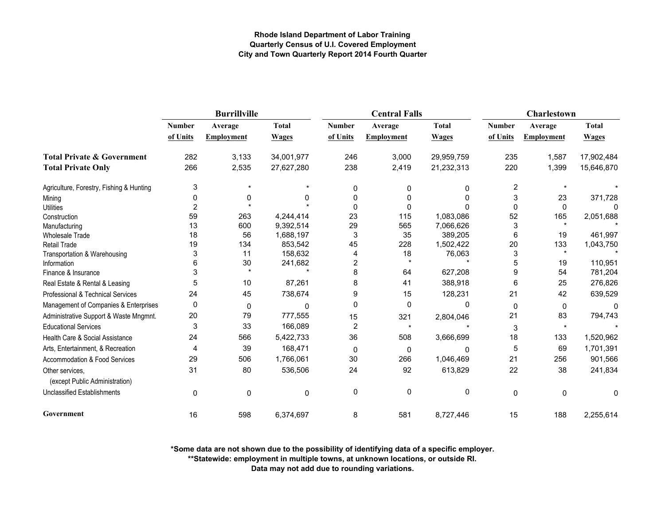|                                                   |                | <b>Burrillville</b> |              |               | <b>Central Falls</b> |              | Charlestown   |                   |              |
|---------------------------------------------------|----------------|---------------------|--------------|---------------|----------------------|--------------|---------------|-------------------|--------------|
|                                                   | <b>Number</b>  | Average             | <b>Total</b> | <b>Number</b> | Average              | <b>Total</b> | <b>Number</b> | Average           | <b>Total</b> |
|                                                   | of Units       | <b>Employment</b>   | <b>Wages</b> | of Units      | <b>Employment</b>    | <b>Wages</b> | of Units      | <b>Employment</b> | <b>Wages</b> |
| <b>Total Private &amp; Government</b>             | 282            | 3,133               | 34,001,977   | 246           | 3,000                | 29,959,759   | 235           | 1,587             | 17,902,484   |
| <b>Total Private Only</b>                         | 266            | 2,535               | 27,627,280   | 238           | 2,419                | 21,232,313   | 220           | 1,399             | 15,646,870   |
| Agriculture, Forestry, Fishing & Hunting          | 3              |                     |              | 0             | 0                    | 0            | 2             |                   |              |
| Mining                                            | 0              | 0                   | 0            | 0             | O                    | <sup>0</sup> | 3             | 23                | 371,728      |
| <b>Utilities</b>                                  | $\overline{2}$ |                     |              | 0             | 0                    |              | $\mathbf{0}$  | 0                 | n            |
| Construction                                      | 59             | 263                 | 4,244,414    | 23            | 115                  | 1,083,086    | 52            | 165               | 2,051,688    |
| Manufacturing                                     | 13             | 600                 | 9,392,514    | 29            | 565                  | 7,066,626    | 3             |                   |              |
| <b>Wholesale Trade</b>                            | 18             | 56                  | 1,688,197    | 3             | 35                   | 389,205      | 6             | 19                | 461,997      |
| <b>Retail Trade</b>                               | 19             | 134                 | 853,542      | 45            | 228                  | 1,502,422    | 20            | 133               | 1,043,750    |
| Transportation & Warehousing                      | 3              | 11                  | 158,632      | 4             | 18                   | 76,063       | 3             | $\star$           |              |
| Information                                       | 6              | 30                  | 241,682      | 2             | $\star$              |              | 5             | 19                | 110,951      |
| Finance & Insurance                               | 3              |                     |              | 8             | 64                   | 627,208      | 9             | 54                | 781,204      |
| Real Estate & Rental & Leasing                    | 5              | 10                  | 87,261       | 8             | 41                   | 388,918      | 6             | 25                | 276,826      |
| Professional & Technical Services                 | 24             | 45                  | 738,674      | 9             | 15                   | 128,231      | 21            | 42                | 639,529      |
| Management of Companies & Enterprises             | 0              | $\mathbf 0$         | $\Omega$     | 0             | $\mathbf 0$          | 0            | $\mathbf 0$   | 0                 | n            |
| Administrative Support & Waste Mngmnt.            | 20             | 79                  | 777,555      | 15            | 321                  | 2,804,046    | 21            | 83                | 794,743      |
| <b>Educational Services</b>                       | 3              | 33                  | 166,089      | $\mathbf 2$   | $\star$              |              | 3             | $\star$           |              |
| Health Care & Social Assistance                   | 24             | 566                 | 5,422,733    | 36            | 508                  | 3,666,699    | 18            | 133               | 1,520,962    |
| Arts, Entertainment, & Recreation                 | 4              | 39                  | 168,471      | 0             | 0                    | O            | 5             | 69                | 1,701,391    |
| Accommodation & Food Services                     | 29             | 506                 | 1,766,061    | 30            | 266                  | 1,046,469    | 21            | 256               | 901,566      |
| Other services,<br>(except Public Administration) | 31             | 80                  | 536,506      | 24            | 92                   | 613,829      | 22            | 38                | 241,834      |
| <b>Unclassified Establishments</b>                | $\mathbf 0$    | $\mathbf 0$         | 0            | 0             | $\mathbf 0$          | 0            | 0             | $\mathbf 0$       | 0            |
| Government                                        | 16             | 598                 | 6,374,697    | 8             | 581                  | 8,727,446    | 15            | 188               | 2,255,614    |

**\*Some data are not shown due to the possibility of identifying data of a specific employer.**

**\*\*Statewide: employment in multiple towns, at unknown locations, or outside RI.**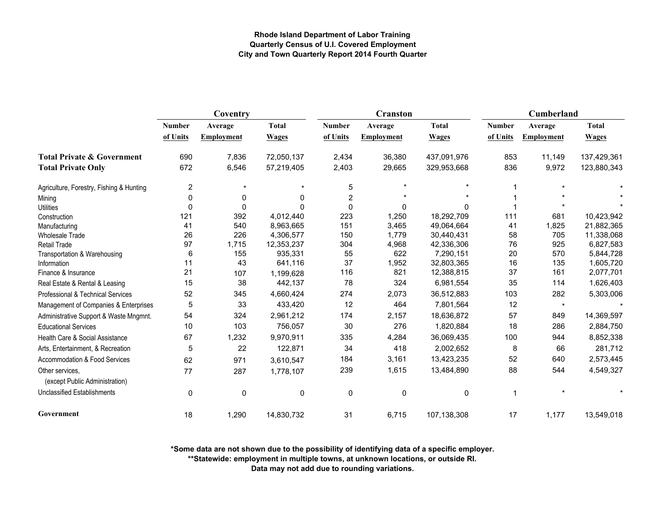|                                                   | Coventry      |                   |              |               | Cranston          |              | Cumberland    |                   |              |
|---------------------------------------------------|---------------|-------------------|--------------|---------------|-------------------|--------------|---------------|-------------------|--------------|
|                                                   | <b>Number</b> | Average           | <b>Total</b> | <b>Number</b> | Average           | <b>Total</b> | <b>Number</b> | Average           | <b>Total</b> |
|                                                   | of Units      | <b>Employment</b> | <b>Wages</b> | of Units      | <b>Employment</b> | <b>Wages</b> | of Units      | <b>Employment</b> | <b>Wages</b> |
| <b>Total Private &amp; Government</b>             | 690           | 7,836             | 72,050,137   | 2,434         | 36,380            | 437,091,976  | 853           | 11,149            | 137,429,361  |
| <b>Total Private Only</b>                         | 672           | 6,546             | 57,219,405   | 2,403         | 29,665            | 329,953,668  | 836           | 9,972             | 123,880,343  |
| Agriculture, Forestry, Fishing & Hunting          | 2             | $\star$           |              | 5             |                   |              |               |                   |              |
| Mining                                            | ∩             | 0                 | 0            | 2             |                   |              |               |                   |              |
| <b>Utilities</b>                                  | $\mathbf 0$   | $\Omega$          |              | $\Omega$      | 0                 | 0            |               |                   |              |
| Construction                                      | 121           | 392               | 4,012,440    | 223           | 1,250             | 18,292,709   | 111           | 681               | 10,423,942   |
| Manufacturing                                     | 41            | 540               | 8,963,665    | 151           | 3,465             | 49,064,664   | 41            | 1,825             | 21,882,365   |
| <b>Wholesale Trade</b>                            | 26            | 226               | 4,306,577    | 150           | 1,779             | 30,440,431   | 58            | 705               | 11,338,068   |
| <b>Retail Trade</b>                               | 97            | 1,715             | 12,353,237   | 304           | 4,968             | 42,336,306   | 76            | 925               | 6,827,583    |
| Transportation & Warehousing                      | 6             | 155               | 935,331      | 55            | 622               | 7,290,151    | 20            | 570               | 5,844,728    |
| Information                                       | 11            | 43                | 641,116      | 37            | 1,952             | 32,803,365   | 16            | 135               | 1,605,720    |
| Finance & Insurance                               | 21            | 107               | 1,199,628    | 116           | 821               | 12,388,815   | 37            | 161               | 2,077,701    |
| Real Estate & Rental & Leasing                    | 15            | 38                | 442,137      | 78            | 324               | 6,981,554    | 35            | 114               | 1,626,403    |
| Professional & Technical Services                 | 52            | 345               | 4,660,424    | 274           | 2,073             | 36,512,883   | 103           | 282               | 5,303,006    |
| Management of Companies & Enterprises             | 5             | 33                | 433,420      | 12            | 464               | 7,801,564    | 12            | $\star$           |              |
| Administrative Support & Waste Mngmnt.            | 54            | 324               | 2,961,212    | 174           | 2,157             | 18,636,872   | 57            | 849               | 14,369,597   |
| <b>Educational Services</b>                       | 10            | 103               | 756,057      | 30            | 276               | 1,820,884    | 18            | 286               | 2,884,750    |
| Health Care & Social Assistance                   | 67            | 1,232             | 9,970,911    | 335           | 4,284             | 36,069,435   | 100           | 944               | 8,852,338    |
| Arts, Entertainment, & Recreation                 | 5             | 22                | 122,871      | 34            | 418               | 2,002,652    | 8             | 66                | 281,712      |
| Accommodation & Food Services                     | 62            | 971               | 3,610,547    | 184           | 3,161             | 13,423,235   | 52            | 640               | 2,573,445    |
| Other services,<br>(except Public Administration) | 77            | 287               | 1,778,107    | 239           | 1,615             | 13,484,890   | 88            | 544               | 4,549,327    |
| <b>Unclassified Establishments</b>                | $\mathbf 0$   | 0                 | $\mathbf 0$  | $\mathbf 0$   | $\mathbf 0$       | 0            | 1             |                   |              |
| Government                                        | 18            | 1,290             | 14,830,732   | 31            | 6,715             | 107,138,308  | 17            | 1,177             | 13,549,018   |

**\*Some data are not shown due to the possibility of identifying data of a specific employer.**

**\*\*Statewide: employment in multiple towns, at unknown locations, or outside RI.**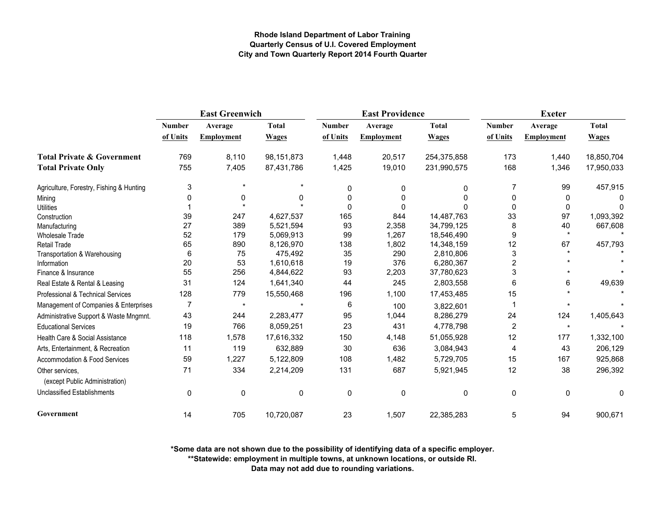|                                                   | <b>East Greenwich</b> |                   |              |               | <b>East Providence</b> |              | <b>Exeter</b>  |                   |              |
|---------------------------------------------------|-----------------------|-------------------|--------------|---------------|------------------------|--------------|----------------|-------------------|--------------|
|                                                   | <b>Number</b>         | Average           | <b>Total</b> | <b>Number</b> | Average                | <b>Total</b> | <b>Number</b>  | Average           | <b>Total</b> |
|                                                   | of Units              | <b>Employment</b> | <b>Wages</b> | of Units      | Employment             | <b>Wages</b> | of Units       | <b>Employment</b> | <b>Wages</b> |
| <b>Total Private &amp; Government</b>             | 769                   | 8,110             | 98, 151, 873 | 1,448         | 20,517                 | 254,375,858  | 173            | 1,440             | 18,850,704   |
| <b>Total Private Only</b>                         | 755                   | 7,405             | 87,431,786   | 1,425         | 19,010                 | 231,990,575  | 168            | 1,346             | 17,950,033   |
| Agriculture, Forestry, Fishing & Hunting          | 3                     |                   |              | 0             | 0                      | 0            | 7              | 99                | 457,915      |
| Mining                                            | ŋ                     | 0                 | 0            | O             | 0                      | 0            | 0              | 0                 |              |
| <b>Utilities</b>                                  |                       |                   |              | $\Omega$      | 0                      |              | $\Omega$       | 0                 | <sup>0</sup> |
| Construction                                      | 39                    | 247               | 4,627,537    | 165           | 844                    | 14,487,763   | 33             | 97                | 1,093,392    |
| Manufacturing                                     | 27                    | 389               | 5,521,594    | 93            | 2,358                  | 34,799,125   | 8              | 40                | 667,608      |
| <b>Wholesale Trade</b>                            | 52                    | 179               | 5,069,913    | 99            | 1,267                  | 18,546,490   | 9              | $\star$           |              |
| Retail Trade                                      | 65                    | 890               | 8,126,970    | 138           | 1,802                  | 14,348,159   | 12             | 67                | 457,793      |
| Transportation & Warehousing                      | 6                     | 75                | 475,492      | 35            | 290                    | 2,810,806    | 3              |                   |              |
| Information                                       | 20                    | 53                | 1,610,618    | 19            | 376                    | 6,280,367    | 2              |                   |              |
| Finance & Insurance                               | 55                    | 256               | 4,844,622    | 93            | 2,203                  | 37,780,623   | 3              |                   |              |
| Real Estate & Rental & Leasing                    | 31                    | 124               | 1,641,340    | 44            | 245                    | 2,803,558    | 6              | 6                 | 49,639       |
| Professional & Technical Services                 | 128                   | 779               | 15,550,468   | 196           | 1,100                  | 17,453,485   | 15             |                   |              |
| Management of Companies & Enterprises             | 7                     | $\star$           |              | 6             | 100                    | 3,822,601    |                |                   |              |
| Administrative Support & Waste Mngmnt.            | 43                    | 244               | 2,283,477    | 95            | 1,044                  | 8,286,279    | 24             | 124               | 1,405,643    |
| <b>Educational Services</b>                       | 19                    | 766               | 8,059,251    | 23            | 431                    | 4,778,798    | $\overline{2}$ | $\star$           |              |
| Health Care & Social Assistance                   | 118                   | 1,578             | 17,616,332   | 150           | 4,148                  | 51,055,928   | 12             | 177               | 1,332,100    |
| Arts, Entertainment, & Recreation                 | 11                    | 119               | 632,889      | 30            | 636                    | 3,084,943    | 4              | 43                | 206,129      |
| <b>Accommodation &amp; Food Services</b>          | 59                    | 1,227             | 5,122,809    | 108           | 1,482                  | 5,729,705    | 15             | 167               | 925,868      |
| Other services.<br>(except Public Administration) | 71                    | 334               | 2,214,209    | 131           | 687                    | 5,921,945    | 12             | 38                | 296,392      |
| <b>Unclassified Establishments</b>                | 0                     | 0                 | 0            | $\mathbf 0$   | 0                      | 0            | 0              | $\mathbf 0$       | 0            |
| Government                                        | 14                    | 705               | 10,720,087   | 23            | 1,507                  | 22,385,283   | 5              | 94                | 900,671      |

**\*Some data are not shown due to the possibility of identifying data of a specific employer.**

**\*\*Statewide: employment in multiple towns, at unknown locations, or outside RI.**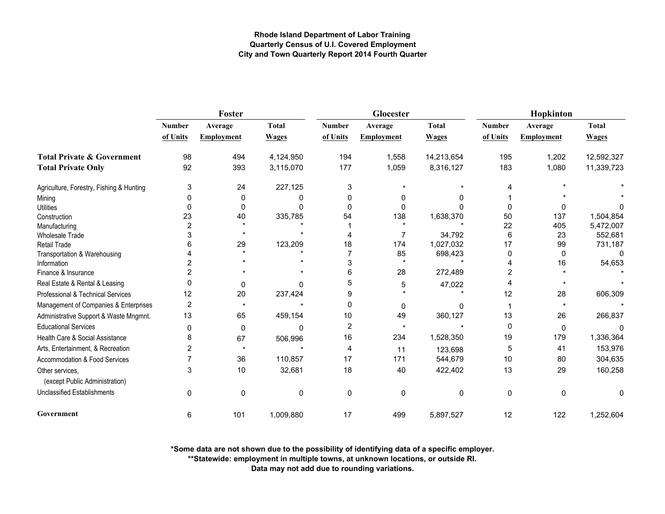|                                                   | Foster         |                   |              |                | Glocester         |              | Hopkinton     |                   |              |
|---------------------------------------------------|----------------|-------------------|--------------|----------------|-------------------|--------------|---------------|-------------------|--------------|
|                                                   | <b>Number</b>  | Average           | <b>Total</b> | <b>Number</b>  | Average           | <b>Total</b> | <b>Number</b> | Average           | <b>Total</b> |
|                                                   | of Units       | <b>Employment</b> | <b>Wages</b> | of Units       | <b>Employment</b> | <b>Wages</b> | of Units      | <b>Employment</b> | <b>Wages</b> |
| <b>Total Private &amp; Government</b>             | 98             | 494               | 4,124,950    | 194            | 1,558             | 14,213,654   | 195           | 1,202             | 12,592,327   |
| <b>Total Private Only</b>                         | 92             | 393               | 3,115,070    | 177            | 1,059             | 8,316,127    | 183           | 1,080             | 11,339,723   |
| Agriculture, Forestry, Fishing & Hunting          | 3              | 24                | 227,125      | 3              |                   |              |               |                   |              |
| Mining                                            |                | 0                 | ი            | ŋ              | 0                 |              |               |                   |              |
| <b>Utilities</b>                                  | O              | $\Omega$          |              | $\Omega$       | $\Omega$          |              |               | O                 |              |
| Construction                                      | 23             | 40                | 335,785      | 54             | 138               | 1,638,370    | 50            | 137               | 1,504,854    |
| Manufacturing                                     | 2              |                   |              |                |                   |              | 22            | 405               | 5,472,007    |
| <b>Wholesale Trade</b>                            |                |                   |              |                |                   | 34,792       | 6             | 23                | 552,681      |
| <b>Retail Trade</b>                               |                | 29                | 123,209      | 18             | 174               | 1,027,032    | 17            | 99                | 731,187      |
| Transportation & Warehousing                      |                |                   |              |                | 85                | 698,423      | 0             | $\Omega$          |              |
| Information                                       |                |                   |              | 3              | $\star$           |              |               | 16                | 54,653       |
| Finance & Insurance                               |                |                   |              | 6              | 28                | 272,489      | 2             |                   |              |
| Real Estate & Rental & Leasing                    | n              | 0                 | N            | 5              | 5                 | 47,022       |               |                   |              |
| Professional & Technical Services                 | 12             | 20                | 237,424      | 9              |                   |              | 12            | 28                | 606,309      |
| Management of Companies & Enterprises             | $\overline{c}$ | $\star$           |              | $\mathbf 0$    | 0                 | O.           |               |                   |              |
| Administrative Support & Waste Mngmnt.            | 13             | 65                | 459,154      | 10             | 49                | 360,127      | 13            | 26                | 266,837      |
| <b>Educational Services</b>                       | $\Omega$       | $\mathbf 0$       | 0            | $\overline{2}$ |                   |              | 0             | $\mathbf{0}$      | 0            |
| Health Care & Social Assistance                   | 8              | 67                | 506,996      | 16             | 234               | 1,528,350    | 19            | 179               | 1,336,364    |
| Arts, Entertainment, & Recreation                 | 2              | $\star$           |              | 4              | 11                | 123,698      | 5             | 41                | 153,976      |
| Accommodation & Food Services                     |                | 36                | 110,857      | 17             | 171               | 544,679      | 10            | 80                | 304,635      |
| Other services,<br>(except Public Administration) | 3              | 10                | 32,681       | 18             | 40                | 422,402      | 13            | 29                | 160,258      |
| <b>Unclassified Establishments</b>                | 0              | 0                 | $\mathbf 0$  | $\mathbf 0$    | $\mathbf 0$       | 0            | 0             | $\mathbf{0}$      | 0            |
| Government                                        | 6              | 101               | 1,009,880    | 17             | 499               | 5,897,527    | 12            | 122               | 1,252,604    |

**\*Some data are not shown due to the possibility of identifying data of a specific employer.**

**\*\*Statewide: employment in multiple towns, at unknown locations, or outside RI.**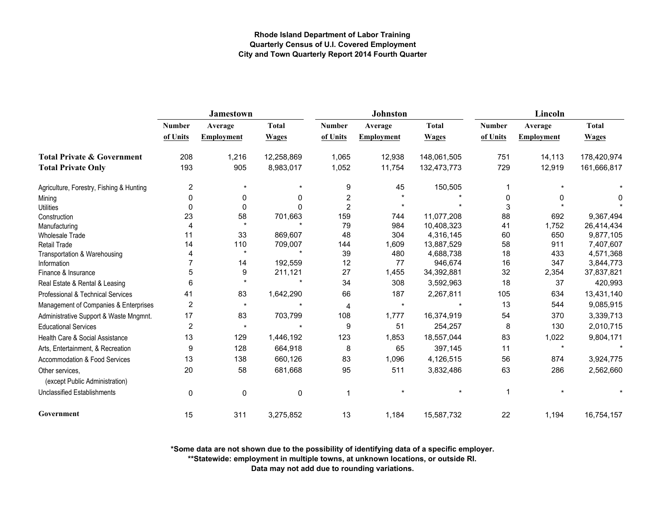|                                                   |                | <b>Jamestown</b>  |              |                | <b>Johnston</b> |              | Lincoln       |                   |              |  |
|---------------------------------------------------|----------------|-------------------|--------------|----------------|-----------------|--------------|---------------|-------------------|--------------|--|
|                                                   | <b>Number</b>  | Average           | <b>Total</b> | <b>Number</b>  | Average         | <b>Total</b> | <b>Number</b> | Average           | <b>Total</b> |  |
|                                                   | of Units       | <b>Employment</b> | <b>Wages</b> | of Units       | Employment      | <b>Wages</b> | of Units      | <b>Employment</b> | <b>Wages</b> |  |
| <b>Total Private &amp; Government</b>             | 208            | 1,216             | 12,258,869   | 1,065          | 12,938          | 148,061,505  | 751           | 14,113            | 178,420,974  |  |
| <b>Total Private Only</b>                         | 193            | 905               | 8,983,017    | 1,052          | 11,754          | 132,473,773  | 729           | 12,919            | 161,666,817  |  |
| Agriculture, Forestry, Fishing & Hunting          | $\overline{2}$ | $\star$           |              | 9              | 45              | 150,505      |               |                   |              |  |
| Mining                                            | 0              | 0                 | 0            | $\overline{c}$ |                 |              | 0             | 0                 | 0            |  |
| <b>Utilities</b>                                  | 0              | $\mathbf 0$       | $\Omega$     | $\overline{2}$ |                 |              | 3             |                   |              |  |
| Construction                                      | 23             | 58                | 701,663      | 159            | 744             | 11,077,208   | 88            | 692               | 9,367,494    |  |
| Manufacturing                                     |                | $\star$           |              | 79             | 984             | 10,408,323   | 41            | 1,752             | 26,414,434   |  |
| Wholesale Trade                                   | 11             | 33                | 869,607      | 48             | 304             | 4,316,145    | 60            | 650               | 9,877,105    |  |
| <b>Retail Trade</b>                               | 14             | 110               | 709,007      | 144            | 1,609           | 13,887,529   | 58            | 911               | 7,407,607    |  |
| Transportation & Warehousing                      |                | $\star$           |              | 39             | 480             | 4,688,738    | 18            | 433               | 4,571,368    |  |
| Information                                       |                | 14                | 192,559      | 12             | 77              | 946,674      | 16            | 347               | 3,844,773    |  |
| Finance & Insurance                               | 5              | 9                 | 211,121      | 27             | 1,455           | 34,392,881   | 32            | 2,354             | 37,837,821   |  |
| Real Estate & Rental & Leasing                    | 6              | $\star$           |              | 34             | 308             | 3,592,963    | 18            | 37                | 420,993      |  |
| Professional & Technical Services                 | 41             | 83                | 1,642,290    | 66             | 187             | 2,267,811    | 105           | 634               | 13,431,140   |  |
| Management of Companies & Enterprises             | $\overline{c}$ | $\star$           |              | 4              | $\star$         |              | 13            | 544               | 9,085,915    |  |
| Administrative Support & Waste Mngmnt.            | 17             | 83                | 703,799      | 108            | 1,777           | 16,374,919   | 54            | 370               | 3,339,713    |  |
| <b>Educational Services</b>                       | $\overline{2}$ | $\star$           | $\star$      | 9              | 51              | 254,257      | 8             | 130               | 2,010,715    |  |
| Health Care & Social Assistance                   | 13             | 129               | 1,446,192    | 123            | 1,853           | 18,557,044   | 83            | 1,022             | 9,804,171    |  |
| Arts, Entertainment, & Recreation                 | 9              | 128               | 664,918      | 8              | 65              | 397,145      | 11            | $\star$           |              |  |
| Accommodation & Food Services                     | 13             | 138               | 660,126      | 83             | 1,096           | 4,126,515    | 56            | 874               | 3,924,775    |  |
| Other services,<br>(except Public Administration) | 20             | 58                | 681,668      | 95             | 511             | 3,832,486    | 63            | 286               | 2,562,660    |  |
| <b>Unclassified Establishments</b>                | $\mathbf 0$    | 0                 | 0            | 1              |                 |              | 1             |                   |              |  |
| Government                                        | 15             | 311               | 3,275,852    | 13             | 1,184           | 15,587,732   | 22            | 1,194             | 16,754,157   |  |

**\*Some data are not shown due to the possibility of identifying data of a specific employer.**

**\*\*Statewide: employment in multiple towns, at unknown locations, or outside RI.**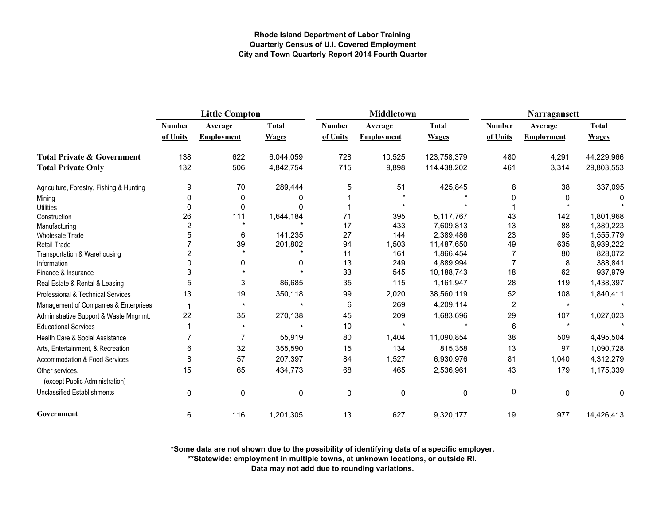|                                                   | <b>Little Compton</b> |                   |              |               | <b>Middletown</b> |              | Narragansett   |                   |              |
|---------------------------------------------------|-----------------------|-------------------|--------------|---------------|-------------------|--------------|----------------|-------------------|--------------|
|                                                   | <b>Number</b>         | Average           | <b>Total</b> | <b>Number</b> | Average           | <b>Total</b> | <b>Number</b>  | Average           | <b>Total</b> |
|                                                   | of Units              | <b>Employment</b> | <b>Wages</b> | of Units      | <b>Employment</b> | <b>Wages</b> | of Units       | <b>Employment</b> | <b>Wages</b> |
| <b>Total Private &amp; Government</b>             | 138                   | 622               | 6,044,059    | 728           | 10,525            | 123,758,379  | 480            | 4,291             | 44,229,966   |
| <b>Total Private Only</b>                         | 132                   | 506               | 4,842,754    | 715           | 9,898             | 114,438,202  | 461            | 3,314             | 29,803,553   |
| Agriculture, Forestry, Fishing & Hunting          | 9                     | 70                | 289,444      | 5             | 51                | 425,845      | 8              | 38                | 337,095      |
| Mining                                            | 0                     | 0                 | O            |               |                   |              | 0              | 0                 |              |
| <b>Utilities</b>                                  | 0                     | 0                 |              |               |                   |              |                |                   |              |
| Construction                                      | 26                    | 111               | 1,644,184    | 71            | 395               | 5,117,767    | 43             | 142               | 1,801,968    |
| Manufacturing                                     | $\overline{2}$        |                   |              | 17            | 433               | 7,609,813    | 13             | 88                | 1,389,223    |
| <b>Wholesale Trade</b>                            | 5                     | 6                 | 141,235      | 27            | 144               | 2,389,486    | 23             | 95                | 1,555,779    |
| Retail Trade                                      |                       | 39                | 201,802      | 94            | 1,503             | 11,487,650   | 49             | 635               | 6,939,222    |
| Transportation & Warehousing                      |                       |                   |              | 11            | 161               | 1,866,454    | 7              | 80                | 828,072      |
| Information                                       |                       | 0                 | 0            | 13            | 249               | 4,889,994    | 7              | 8                 | 388,841      |
| Finance & Insurance                               | 3                     |                   |              | 33            | 545               | 10,188,743   | 18             | 62                | 937,979      |
| Real Estate & Rental & Leasing                    | 5                     | 3                 | 86,685       | 35            | 115               | 1,161,947    | 28             | 119               | 1,438,397    |
| Professional & Technical Services                 | 13                    | 19                | 350,118      | 99            | 2,020             | 38,560,119   | 52             | 108               | 1,840,411    |
| Management of Companies & Enterprises             | 1                     | $\star$           |              | 6             | 269               | 4,209,114    | $\overline{2}$ | $\star$           |              |
| Administrative Support & Waste Mngmnt.            | 22                    | 35                | 270,138      | 45            | 209               | 1,683,696    | 29             | 107               | 1,027,023    |
| <b>Educational Services</b>                       |                       |                   |              | 10            |                   |              | 6              | $\star$           |              |
| Health Care & Social Assistance                   | 7                     | 7                 | 55,919       | 80            | 1,404             | 11,090,854   | 38             | 509               | 4,495,504    |
| Arts, Entertainment, & Recreation                 | 6                     | 32                | 355,590      | 15            | 134               | 815,358      | 13             | 97                | 1,090,728    |
| Accommodation & Food Services                     | 8                     | 57                | 207,397      | 84            | 1,527             | 6,930,976    | 81             | 1.040             | 4,312,279    |
| Other services.<br>(except Public Administration) | 15                    | 65                | 434,773      | 68            | 465               | 2,536,961    | 43             | 179               | 1,175,339    |
| <b>Unclassified Establishments</b>                | 0                     | 0                 | 0            | $\mathbf 0$   | $\mathbf 0$       | 0            | 0              | $\mathbf 0$       | $\mathbf 0$  |
| Government                                        | 6                     | 116               | 1,201,305    | 13            | 627               | 9,320,177    | 19             | 977               | 14,426,413   |

**\*Some data are not shown due to the possibility of identifying data of a specific employer.**

**\*\*Statewide: employment in multiple towns, at unknown locations, or outside RI.**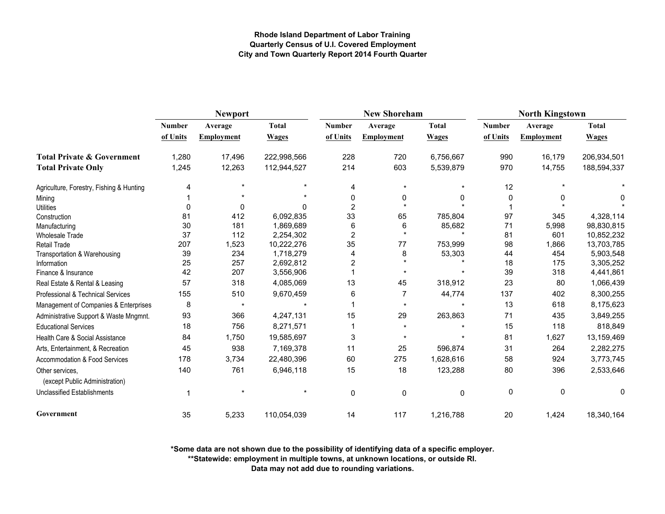|                                                   |               | Newport           |              |                | <b>New Shoreham</b> |              | <b>North Kingstown</b> |                   |              |
|---------------------------------------------------|---------------|-------------------|--------------|----------------|---------------------|--------------|------------------------|-------------------|--------------|
|                                                   | <b>Number</b> | Average           | <b>Total</b> | Number         | Average             | <b>Total</b> | <b>Number</b>          | Average           | <b>Total</b> |
|                                                   | of Units      | <b>Employment</b> | <b>Wages</b> | of Units       | <b>Employment</b>   | <b>Wages</b> | of Units               | <b>Employment</b> | <b>Wages</b> |
| <b>Total Private &amp; Government</b>             | 1,280         | 17,496            | 222,998,566  | 228            | 720                 | 6,756,667    | 990                    | 16,179            | 206,934,501  |
| <b>Total Private Only</b>                         | 1,245         | 12,263            | 112,944,527  | 214            | 603                 | 5,539,879    | 970                    | 14,755            | 188,594,337  |
| Agriculture, Forestry, Fishing & Hunting          | 4             |                   |              | 4              | $\star$             |              | 12                     |                   |              |
| Mining                                            |               |                   |              | 0              | 0                   |              | 0                      | 0                 | 0            |
| <b>Utilities</b>                                  | $\Omega$      | 0                 | n            | $\overline{2}$ |                     |              |                        |                   |              |
| Construction                                      | 81            | 412               | 6,092,835    | 33             | 65                  | 785,804      | 97                     | 345               | 4,328,114    |
| Manufacturing                                     | 30            | 181               | 1,869,689    | 6              | 6                   | 85,682       | 71                     | 5,998             | 98,830,815   |
| <b>Wholesale Trade</b>                            | 37            | 112               | 2,254,302    | $\overline{2}$ | $\star$             | $\star$      | 81                     | 601               | 10,852,232   |
| <b>Retail Trade</b>                               | 207           | 1,523             | 10,222,276   | 35             | 77                  | 753,999      | 98                     | 1,866             | 13,703,785   |
| Transportation & Warehousing                      | 39            | 234               | 1,718,279    | 4              | 8                   | 53,303       | 44                     | 454               | 5,903,548    |
| Information                                       | 25            | 257               | 2,692,812    | $\overline{2}$ |                     |              | 18                     | 175               | 3,305,252    |
| Finance & Insurance                               | 42            | 207               | 3,556,906    |                |                     |              | 39                     | 318               | 4,441,861    |
| Real Estate & Rental & Leasing                    | 57            | 318               | 4,085,069    | 13             | 45                  | 318,912      | 23                     | 80                | 1,066,439    |
| Professional & Technical Services                 | 155           | 510               | 9,670,459    | 6              | 7                   | 44,774       | 137                    | 402               | 8,300,255    |
| Management of Companies & Enterprises             | 8             | $\star$           |              |                | $\star$             |              | 13                     | 618               | 8,175,623    |
| Administrative Support & Waste Mngmnt.            | 93            | 366               | 4,247,131    | 15             | 29                  | 263,863      | 71                     | 435               | 3,849,255    |
| <b>Educational Services</b>                       | 18            | 756               | 8,271,571    |                | $\star$             |              | 15                     | 118               | 818,849      |
| Health Care & Social Assistance                   | 84            | 1,750             | 19,585,697   | 3              |                     |              | 81                     | 1,627             | 13,159,469   |
| Arts, Entertainment, & Recreation                 | 45            | 938               | 7,169,378    | 11             | 25                  | 596,874      | 31                     | 264               | 2,282,275    |
| Accommodation & Food Services                     | 178           | 3,734             | 22,480,396   | 60             | 275                 | 1,628,616    | 58                     | 924               | 3,773,745    |
| Other services,<br>(except Public Administration) | 140           | 761               | 6,946,118    | 15             | 18                  | 123,288      | 80                     | 396               | 2,533,646    |
| <b>Unclassified Establishments</b>                |               |                   |              | 0              | 0                   | 0            | 0                      | $\mathbf 0$       | 0            |
| Government                                        | 35            | 5,233             | 110,054,039  | 14             | 117                 | 1,216,788    | 20                     | 1,424             | 18,340,164   |

**\*Some data are not shown due to the possibility of identifying data of a specific employer.**

**\*\*Statewide: employment in multiple towns, at unknown locations, or outside RI.**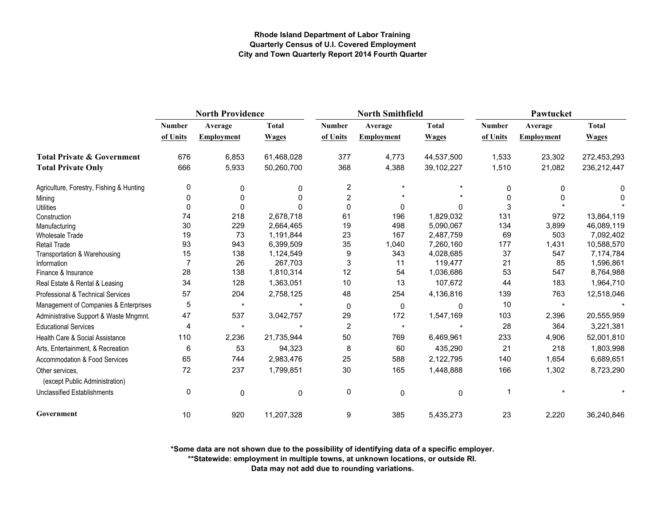|                                                   | <b>North Providence</b> |                   |              |                         | <b>North Smithfield</b> |              | Pawtucket     |                   |              |  |
|---------------------------------------------------|-------------------------|-------------------|--------------|-------------------------|-------------------------|--------------|---------------|-------------------|--------------|--|
|                                                   | <b>Number</b>           | Average           | <b>Total</b> | <b>Number</b>           | Average                 | <b>Total</b> | <b>Number</b> | Average           | <b>Total</b> |  |
|                                                   | of Units                | <b>Employment</b> | <b>Wages</b> | of Units                | Employment              | <b>Wages</b> | of Units      | <b>Employment</b> | <b>Wages</b> |  |
| <b>Total Private &amp; Government</b>             | 676                     | 6,853             | 61,468,028   | 377                     | 4,773                   | 44,537,500   | 1,533         | 23,302            | 272,453,293  |  |
| <b>Total Private Only</b>                         | 666                     | 5,933             | 50,260,700   | 368                     | 4,388                   | 39,102,227   | 1,510         | 21,082            | 236,212,447  |  |
| Agriculture, Forestry, Fishing & Hunting          | 0                       | 0                 | 0            | $\overline{\mathbf{c}}$ |                         |              | 0             | 0                 | 0            |  |
| Mining                                            | 0                       | 0                 | ŋ            | 2                       |                         |              | $\Omega$      | 0                 | 0            |  |
| <b>Utilities</b>                                  | 0                       | $\Omega$          |              | 0                       | 0                       |              | 3             |                   |              |  |
| Construction                                      | 74                      | 218               | 2,678,718    | 61                      | 196                     | 1,829,032    | 131           | 972               | 13,864,119   |  |
| Manufacturing                                     | 30                      | 229               | 2,664,465    | 19                      | 498                     | 5,090,067    | 134           | 3,899             | 46,089,119   |  |
| <b>Wholesale Trade</b>                            | 19                      | 73                | 1,191,844    | 23                      | 167                     | 2,487,759    | 69            | 503               | 7,092,402    |  |
| Retail Trade                                      | 93                      | 943               | 6,399,509    | 35                      | 1,040                   | 7,260,160    | 177           | 1,431             | 10,588,570   |  |
| Transportation & Warehousing                      | 15                      | 138               | 1,124,549    | 9                       | 343                     | 4,028,685    | 37            | 547               | 7,174,784    |  |
| Information                                       | 7                       | 26                | 267,703      | 3                       | 11                      | 119,477      | 21            | 85                | 1,596,861    |  |
| Finance & Insurance                               | 28                      | 138               | 1,810,314    | 12                      | 54                      | 1,036,686    | 53            | 547               | 8,764,988    |  |
| Real Estate & Rental & Leasing                    | 34                      | 128               | 1,363,051    | 10                      | 13                      | 107,672      | 44            | 183               | 1,964,710    |  |
| Professional & Technical Services                 | 57                      | 204               | 2,758,125    | 48                      | 254                     | 4,136,816    | 139           | 763               | 12,518,046   |  |
| Management of Companies & Enterprises             | 5                       | $\star$           | $\star$      | $\mathbf 0$             | $\pmb{0}$               | $\Omega$     | 10            | $\star$           |              |  |
| Administrative Support & Waste Mngmnt.            | 47                      | 537               | 3,042,757    | 29                      | 172                     | 1,547,169    | 103           | 2,396             | 20,555,959   |  |
| <b>Educational Services</b>                       | 4                       | $\star$           | $\star$      | $\overline{2}$          | $\star$                 |              | 28            | 364               | 3,221,381    |  |
| Health Care & Social Assistance                   | 110                     | 2,236             | 21,735,944   | 50                      | 769                     | 6,469,961    | 233           | 4,906             | 52,001,810   |  |
| Arts, Entertainment, & Recreation                 | 6                       | 53                | 94,323       | 8                       | 60                      | 435,290      | 21            | 218               | 1,803,998    |  |
| Accommodation & Food Services                     | 65                      | 744               | 2,983,476    | 25                      | 588                     | 2,122,795    | 140           | 1,654             | 6,689,651    |  |
| Other services.<br>(except Public Administration) | 72                      | 237               | 1,799,851    | 30                      | 165                     | 1,448,888    | 166           | 1,302             | 8,723,290    |  |
| <b>Unclassified Establishments</b>                | 0                       | 0                 | $\mathbf 0$  | 0                       | 0                       | 0            | -1            |                   |              |  |
| Government                                        | 10                      | 920               | 11,207,328   | 9                       | 385                     | 5,435,273    | 23            | 2,220             | 36,240,846   |  |

**\*Some data are not shown due to the possibility of identifying data of a specific employer.**

**\*\*Statewide: employment in multiple towns, at unknown locations, or outside RI.**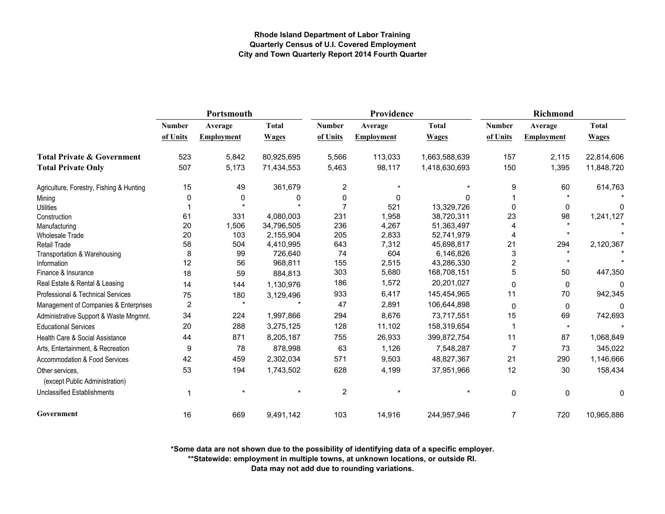|                                                   | Portsmouth              |                   |              |                | Providence        |               | Richmond       |                   |              |
|---------------------------------------------------|-------------------------|-------------------|--------------|----------------|-------------------|---------------|----------------|-------------------|--------------|
|                                                   | <b>Number</b>           | Average           | <b>Total</b> | <b>Number</b>  | Average           | <b>Total</b>  | <b>Number</b>  | Average           | <b>Total</b> |
|                                                   | of Units                | <b>Employment</b> | <b>Wages</b> | of Units       | <b>Employment</b> | <b>Wages</b>  | of Units       | <b>Employment</b> | <b>Wages</b> |
| <b>Total Private &amp; Government</b>             | 523                     | 5,842             | 80,925,695   | 5,566          | 113,033           | 1,663,588,639 | 157            | 2,115             | 22,814,606   |
| <b>Total Private Only</b>                         | 507                     | 5,173             | 71,434,553   | 5,463          | 98,117            | 1,418,630,693 | 150            | 1,395             | 11,848,720   |
| Agriculture, Forestry, Fishing & Hunting          | 15                      | 49                | 361,679      | 2              |                   |               | 9              | 60                | 614,763      |
| Mining                                            |                         | 0                 | 0            | 0              | $\Omega$          | $\Omega$      |                |                   |              |
| <b>Utilities</b>                                  |                         |                   |              | 7              | 521               | 13,329,726    | $\Omega$       | $\Omega$          |              |
| Construction                                      | 61                      | 331               | 4,080,003    | 231            | 1,958             | 38,720,311    | 23             | 98                | 1,241,127    |
| Manufacturing                                     | 20                      | 1,506             | 34,796,505   | 236            | 4,267             | 51,363,497    |                |                   |              |
| <b>Wholesale Trade</b>                            | 20                      | 103               | 2,155,904    | 205            | 2,833             | 52,741,979    | 4              |                   |              |
| <b>Retail Trade</b>                               | 58                      | 504               | 4,410,995    | 643            | 7,312             | 45,698,817    | 21             | 294               | 2,120,367    |
| Transportation & Warehousing                      | 8                       | 99                | 726,640      | 74             | 604               | 6,146,826     | 3              |                   |              |
| Information                                       | 12                      | 56                | 968,811      | 155            | 2,515             | 43,286,330    | $\overline{2}$ | $\star$           |              |
| Finance & Insurance                               | 18                      | 59                | 884,813      | 303            | 5,680             | 168,708,151   | 5              | 50                | 447,350      |
| Real Estate & Rental & Leasing                    | 14                      | 144               | 1,130,976    | 186            | 1,572             | 20,201,027    | 0              | 0                 | 0            |
| Professional & Technical Services                 | 75                      | 180               | 3,129,496    | 933            | 6,417             | 145,454,965   | 11             | 70                | 942,345      |
| Management of Companies & Enterprises             | $\overline{\mathbf{c}}$ | $\star$           |              | 47             | 2,891             | 106,644,898   | $\mathbf 0$    | 0                 |              |
| Administrative Support & Waste Mngmnt.            | 34                      | 224               | 1,997,866    | 294            | 8,676             | 73,717,551    | 15             | 69                | 742,693      |
| <b>Educational Services</b>                       | 20                      | 288               | 3,275,125    | 128            | 11,102            | 158,319,654   |                | $\star$           |              |
| Health Care & Social Assistance                   | 44                      | 871               | 8,205,187    | 755            | 26,933            | 399,872,754   | 11             | 87                | 1,068,849    |
| Arts, Entertainment, & Recreation                 | 9                       | 78                | 878,998      | 63             | 1,126             | 7,548,287     | 7              | 73                | 345,022      |
| Accommodation & Food Services                     | 42                      | 459               | 2,302,034    | 571            | 9,503             | 48,827,367    | 21             | 290               | 1,146,666    |
| Other services.<br>(except Public Administration) | 53                      | 194               | 1,743,502    | 628            | 4,199             | 37,951,966    | 12             | 30                | 158,434      |
| <b>Unclassified Establishments</b>                |                         |                   |              | $\overline{c}$ |                   |               | 0              | $\mathbf 0$       | 0            |
| Government                                        | 16                      | 669               | 9,491,142    | 103            | 14,916            | 244,957,946   | $\overline{7}$ | 720               | 10,965,886   |

**\*Some data are not shown due to the possibility of identifying data of a specific employer.**

**\*\*Statewide: employment in multiple towns, at unknown locations, or outside RI.**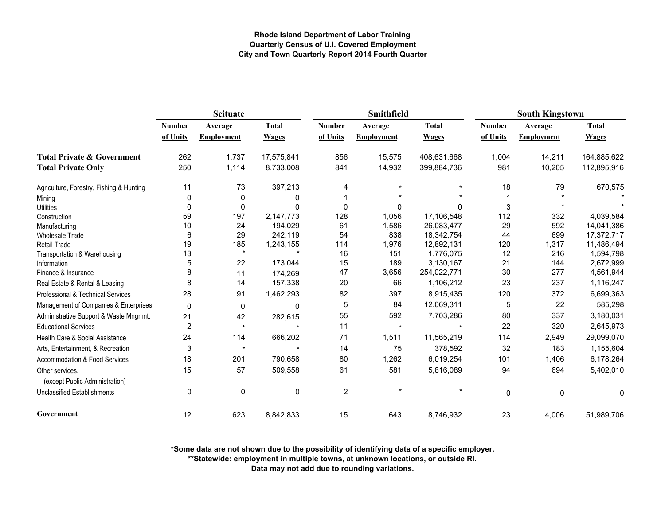|                                                   | Scituate       |                   |              |                | Smithfield |              | <b>South Kingstown</b> |                   |              |
|---------------------------------------------------|----------------|-------------------|--------------|----------------|------------|--------------|------------------------|-------------------|--------------|
|                                                   | <b>Number</b>  | Average           | <b>Total</b> | <b>Number</b>  | Average    | <b>Total</b> | <b>Number</b>          | Average           | <b>Total</b> |
|                                                   | of Units       | <b>Employment</b> | <b>Wages</b> | of Units       | Employment | <b>Wages</b> | of Units               | <b>Employment</b> | <b>Wages</b> |
| <b>Total Private &amp; Government</b>             | 262            | 1,737             | 17,575,841   | 856            | 15,575     | 408,631,668  | 1,004                  | 14,211            | 164,885,622  |
| <b>Total Private Only</b>                         | 250            | 1,114             | 8,733,008    | 841            | 14,932     | 399,884,736  | 981                    | 10,205            | 112,895,916  |
| Agriculture, Forestry, Fishing & Hunting          | 11             | 73                | 397,213      | $\overline{4}$ |            |              | 18                     | 79                | 670,575      |
| Mining                                            | 0              | 0                 | 0            |                |            |              |                        |                   |              |
| <b>Utilities</b>                                  | $\Omega$       | $\mathbf 0$       | $\Omega$     | $\Omega$       | 0          | $\Omega$     | 3                      |                   |              |
| Construction                                      | 59             | 197               | 2,147,773    | 128            | 1,056      | 17,106,548   | 112                    | 332               | 4,039,584    |
| Manufacturing                                     | 10             | 24                | 194,029      | 61             | 1,586      | 26,083,477   | 29                     | 592               | 14,041,386   |
| <b>Wholesale Trade</b>                            | 6              | 29                | 242,119      | 54             | 838        | 18,342,754   | 44                     | 699               | 17,372,717   |
| <b>Retail Trade</b>                               | 19             | 185               | 1,243,155    | 114            | 1,976      | 12,892,131   | 120                    | 1,317             | 11,486,494   |
| Transportation & Warehousing                      | 13             | $\star$           |              | 16             | 151        | 1,776,075    | 12                     | 216               | 1,594,798    |
| Information                                       | 5              | 22                | 173,044      | 15             | 189        | 3,130,167    | 21                     | 144               | 2,672,999    |
| Finance & Insurance                               | 8              | 11                | 174,269      | 47             | 3,656      | 254,022,771  | 30                     | 277               | 4,561,944    |
| Real Estate & Rental & Leasing                    | 8              | 14                | 157,338      | 20             | 66         | 1,106,212    | 23                     | 237               | 1,116,247    |
| Professional & Technical Services                 | 28             | 91                | 1,462,293    | 82             | 397        | 8,915,435    | 120                    | 372               | 6,699,363    |
| Management of Companies & Enterprises             | $\mathbf 0$    | 0                 | 0            | 5              | 84         | 12,069,311   | 5                      | 22                | 585,298      |
| Administrative Support & Waste Mngmnt.            | 21             | 42                | 282,615      | 55             | 592        | 7,703,286    | 80                     | 337               | 3,180,031    |
| <b>Educational Services</b>                       | $\overline{c}$ | $\star$           | ÷            | 11             | $\star$    |              | 22                     | 320               | 2,645,973    |
| Health Care & Social Assistance                   | 24             | 114               | 666,202      | 71             | 1,511      | 11,565,219   | 114                    | 2,949             | 29,099,070   |
| Arts, Entertainment, & Recreation                 | 3              | $\star$           | $\star$      | 14             | 75         | 378,592      | 32                     | 183               | 1,155,604    |
| Accommodation & Food Services                     | 18             | 201               | 790,658      | 80             | 1,262      | 6,019,254    | 101                    | 1,406             | 6,178,264    |
| Other services,<br>(except Public Administration) | 15             | 57                | 509,558      | 61             | 581        | 5,816,089    | 94                     | 694               | 5,402,010    |
| <b>Unclassified Establishments</b>                | 0              | $\pmb{0}$         | 0            | $\overline{2}$ |            |              | $\mathbf 0$            | 0                 | 0            |
| Government                                        | 12             | 623               | 8,842,833    | 15             | 643        | 8,746,932    | 23                     | 4,006             | 51,989,706   |

**\*Some data are not shown due to the possibility of identifying data of a specific employer.**

**\*\*Statewide: employment in multiple towns, at unknown locations, or outside RI.**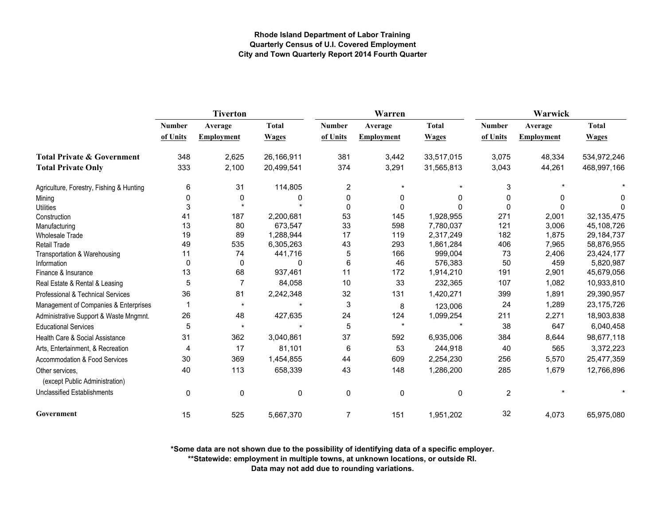|                                                   |               | <b>Tiverton</b>   |              |                | Warren            |              | Warwick        |                   |              |
|---------------------------------------------------|---------------|-------------------|--------------|----------------|-------------------|--------------|----------------|-------------------|--------------|
|                                                   | <b>Number</b> | Average           | <b>Total</b> | <b>Number</b>  | Average           | <b>Total</b> | <b>Number</b>  | Average           | <b>Total</b> |
|                                                   | of Units      | <b>Employment</b> | <b>Wages</b> | of Units       | <b>Employment</b> | <b>Wages</b> | of Units       | <b>Employment</b> | <b>Wages</b> |
| <b>Total Private &amp; Government</b>             | 348           | 2,625             | 26,166,911   | 381            | 3,442             | 33,517,015   | 3,075          | 48,334            | 534,972,246  |
| <b>Total Private Only</b>                         | 333           | 2,100             | 20,499,541   | 374            | 3,291             | 31,565,813   | 3,043          | 44,261            | 468,997,166  |
| Agriculture, Forestry, Fishing & Hunting          | 6             | 31                | 114,805      | $\overline{2}$ | $\star$           |              | 3              |                   |              |
| Mining                                            | 0             | 0                 | 0            | 0              | 0                 | 0            | 0              | 0                 | O            |
| <b>Utilities</b>                                  | 3             |                   |              | $\Omega$       | 0                 |              | $\Omega$       | 0                 | <sup>0</sup> |
| Construction                                      | 41            | 187               | 2,200,681    | 53             | 145               | 1,928,955    | 271            | 2,001             | 32,135,475   |
| Manufacturing                                     | 13            | 80                | 673,547      | 33             | 598               | 7,780,037    | 121            | 3,006             | 45,108,726   |
| <b>Wholesale Trade</b>                            | 19            | 89                | 1,288,944    | 17             | 119               | 2,317,249    | 182            | 1,875             | 29, 184, 737 |
| Retail Trade                                      | 49            | 535               | 6,305,263    | 43             | 293               | 1,861,284    | 406            | 7,965             | 58,876,955   |
| Transportation & Warehousing                      | 11            | 74                | 441,716      | 5              | 166               | 999,004      | 73             | 2,406             | 23,424,177   |
| Information                                       | $\mathbf 0$   | $\mathbf 0$       | 0            | 6              | 46                | 576,383      | 50             | 459               | 5,820,987    |
| Finance & Insurance                               | 13            | 68                | 937,461      | 11             | 172               | 1,914,210    | 191            | 2,901             | 45,679,056   |
| Real Estate & Rental & Leasing                    | 5             | $\overline{7}$    | 84,058       | 10             | 33                | 232,365      | 107            | 1,082             | 10,933,810   |
| Professional & Technical Services                 | 36            | 81                | 2,242,348    | 32             | 131               | 1,420,271    | 399            | 1,891             | 29,390,957   |
| Management of Companies & Enterprises             |               | $\star$           |              | 3              | $\bf 8$           | 123,006      | 24             | 1,289             | 23,175,726   |
| Administrative Support & Waste Mngmnt.            | 26            | 48                | 427,635      | 24             | 124               | 1,099,254    | 211            | 2,271             | 18,903,838   |
| <b>Educational Services</b>                       | 5             | $\star$           |              | 5              | $\star$           |              | 38             | 647               | 6,040,458    |
| Health Care & Social Assistance                   | 31            | 362               | 3,040,861    | 37             | 592               | 6,935,006    | 384            | 8,644             | 98,677,118   |
| Arts, Entertainment, & Recreation                 | 4             | 17                | 81,101       | 6              | 53                | 244,918      | 40             | 565               | 3,372,223    |
| <b>Accommodation &amp; Food Services</b>          | 30            | 369               | 1,454,855    | 44             | 609               | 2,254,230    | 256            | 5,570             | 25,477,359   |
| Other services,<br>(except Public Administration) | 40            | 113               | 658,339      | 43             | 148               | 1,286,200    | 285            | 1,679             | 12,766,896   |
| <b>Unclassified Establishments</b>                | $\mathbf 0$   | 0                 | $\mathbf 0$  | $\mathbf 0$    | 0                 | $\mathbf 0$  | $\overline{2}$ |                   |              |
| Government                                        | 15            | 525               | 5,667,370    | 7              | 151               | 1,951,202    | 32             | 4,073             | 65,975,080   |

**\*Some data are not shown due to the possibility of identifying data of a specific employer.**

**\*\*Statewide: employment in multiple towns, at unknown locations, or outside RI.**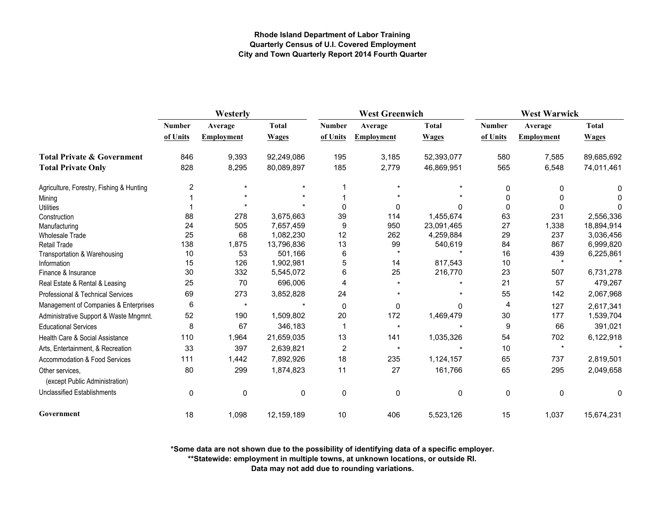|                                                   | Westerly      |                   |              | <b>West Greenwich</b> |                   |              | <b>West Warwick</b> |                   |              |
|---------------------------------------------------|---------------|-------------------|--------------|-----------------------|-------------------|--------------|---------------------|-------------------|--------------|
|                                                   | <b>Number</b> | Average           | <b>Total</b> | <b>Number</b>         | Average           | <b>Total</b> | <b>Number</b>       | Average           | <b>Total</b> |
|                                                   | of Units      | <b>Employment</b> | <b>Wages</b> | of Units              | <b>Employment</b> | <b>Wages</b> | of Units            | <b>Employment</b> | <b>Wages</b> |
| <b>Total Private &amp; Government</b>             | 846           | 9,393             | 92,249,086   | 195                   | 3,185             | 52,393,077   | 580                 | 7,585             | 89,685,692   |
| <b>Total Private Only</b>                         | 828           | 8,295             | 80,089,897   | 185                   | 2,779             | 46,869,951   | 565                 | 6,548             | 74,011,461   |
| Agriculture, Forestry, Fishing & Hunting          | 2             |                   |              |                       |                   |              | 0                   | 0                 |              |
| Mining                                            |               |                   |              |                       |                   |              | $\Omega$            | 0                 |              |
| <b>Utilities</b>                                  |               |                   |              | $\Omega$              | $\Omega$          |              | $\Omega$            | 0                 |              |
| Construction                                      | 88            | 278               | 3,675,663    | 39                    | 114               | 1,455,674    | 63                  | 231               | 2,556,336    |
| Manufacturing                                     | 24            | 505               | 7,657,459    | 9                     | 950               | 23,091,465   | 27                  | 1,338             | 18,894,914   |
| <b>Wholesale Trade</b>                            | 25            | 68                | 1,082,230    | 12                    | 262               | 4,259,884    | 29                  | 237               | 3,036,456    |
| Retail Trade                                      | 138           | 1,875             | 13,796,836   | 13                    | 99                | 540,619      | 84                  | 867               | 6,999,820    |
| Transportation & Warehousing                      | 10            | 53                | 501,166      | 6                     | $\star$           |              | 16                  | 439               | 6,225,861    |
| Information                                       | 15            | 126               | 1,902,981    | 5                     | 14                | 817,543      | 10                  | $\star$           |              |
| Finance & Insurance                               | 30            | 332               | 5,545,072    | 6                     | 25                | 216,770      | 23                  | 507               | 6,731,278    |
| Real Estate & Rental & Leasing                    | 25            | 70                | 696,006      | 4                     |                   |              | 21                  | 57                | 479,267      |
| Professional & Technical Services                 | 69            | 273               | 3,852,828    | 24                    |                   |              | 55                  | 142               | 2,067,968    |
| Management of Companies & Enterprises             | 6             | $\star$           |              | $\mathbf{0}$          | $\mathbf{0}$      | 0            | 4                   | 127               | 2,617,341    |
| Administrative Support & Waste Mngmnt.            | 52            | 190               | 1,509,802    | 20                    | 172               | 1,469,479    | 30                  | 177               | 1,539,704    |
| <b>Educational Services</b>                       | 8             | 67                | 346,183      |                       | $\star$           |              | 9                   | 66                | 391,021      |
| Health Care & Social Assistance                   | 110           | 1,964             | 21,659,035   | 13                    | 141               | 1,035,326    | 54                  | 702               | 6,122,918    |
| Arts, Entertainment, & Recreation                 | 33            | 397               | 2,639,821    | 2                     | $\star$           |              | 10                  | $\star$           |              |
| Accommodation & Food Services                     | 111           | 1,442             | 7,892,926    | 18                    | 235               | 1,124,157    | 65                  | 737               | 2,819,501    |
| Other services.<br>(except Public Administration) | 80            | 299               | 1,874,823    | 11                    | 27                | 161,766      | 65                  | 295               | 2,049,658    |
| <b>Unclassified Establishments</b>                | 0             | 0                 | 0            | 0                     | $\mathbf 0$       | $\mathbf{0}$ | $\mathbf 0$         | 0                 | 0            |
| Government                                        | 18            | 1,098             | 12,159,189   | 10                    | 406               | 5,523,126    | 15                  | 1,037             | 15,674,231   |

**\*Some data are not shown due to the possibility of identifying data of a specific employer.**

**\*\*Statewide: employment in multiple towns, at unknown locations, or outside RI.**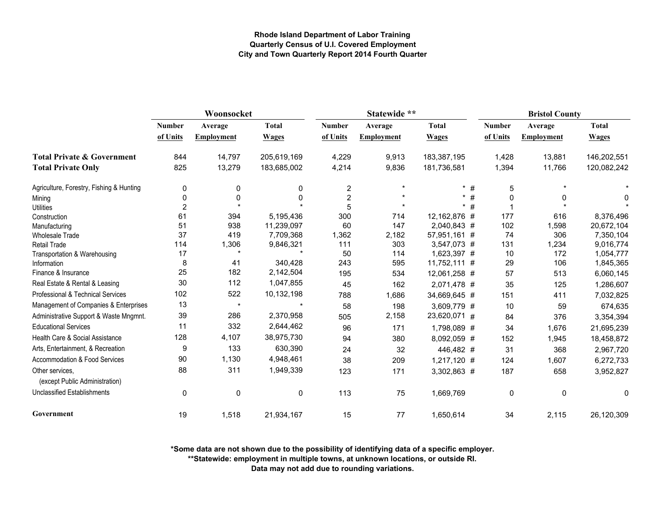|                                                   | Woonsocket     |                   |              | Statewide **            |                   |              |               | <b>Bristol County</b> |                   |              |
|---------------------------------------------------|----------------|-------------------|--------------|-------------------------|-------------------|--------------|---------------|-----------------------|-------------------|--------------|
|                                                   | Number         | Average           | <b>Total</b> | <b>Number</b>           | Average           | <b>Total</b> | <b>Number</b> |                       | Average           | <b>Total</b> |
|                                                   | of Units       | <b>Employment</b> | <b>Wages</b> | of Units                | <b>Employment</b> | <b>Wages</b> |               | of Units              | <b>Employment</b> | <b>Wages</b> |
| <b>Total Private &amp; Government</b>             | 844            | 14,797            | 205,619,169  | 4,229                   | 9,913             | 183,387,195  |               | 1,428                 | 13,881            | 146,202,551  |
| <b>Total Private Only</b>                         | 825            | 13,279            | 183,685,002  | 4,214                   | 9,836             | 181,736,581  |               | 1,394                 | 11,766            | 120,082,242  |
| Agriculture, Forestry, Fishing & Hunting          | 0              | 0                 | 0            | $\overline{\mathbf{c}}$ | $\star$           |              | #             | 5                     |                   |              |
| Mining                                            | 0              | 0                 | 0            | $\overline{2}$          |                   |              | $\#$          | $\Omega$              |                   | 0            |
| <b>Utilities</b>                                  | $\overline{2}$ |                   |              | 5                       |                   |              | #             |                       |                   |              |
| Construction                                      | 61             | 394               | 5,195,436    | 300                     | 714               | 12,162,876 # |               | 177                   | 616               | 8,376,496    |
| Manufacturing                                     | 51             | 938               | 11,239,097   | 60                      | 147               | 2,040,843 #  |               | 102                   | 1,598             | 20,672,104   |
| <b>Wholesale Trade</b>                            | 37             | 419               | 7,709,368    | 1,362                   | 2,182             | 57,951,161 # |               | 74                    | 306               | 7,350,104    |
| <b>Retail Trade</b>                               | 114            | 1,306             | 9,846,321    | 111                     | 303               | 3,547,073 #  |               | 131                   | 1,234             | 9,016,774    |
| Transportation & Warehousing                      | 17             |                   |              | 50                      | 114               | 1,623,397 #  |               | 10                    | 172               | 1,054,777    |
| Information                                       | 8              | 41                | 340,428      | 243                     | 595               | 11,752,111 # |               | 29                    | 106               | 1,845,365    |
| Finance & Insurance                               | 25             | 182               | 2,142,504    | 195                     | 534               | 12,061,258 # |               | 57                    | 513               | 6,060,145    |
| Real Estate & Rental & Leasing                    | 30             | 112               | 1,047,855    | 45                      | 162               | 2,071,478 #  |               | 35                    | 125               | 1,286,607    |
| Professional & Technical Services                 | 102            | 522               | 10,132,198   | 788                     | 1,686             | 34,669,645 # |               | 151                   | 411               | 7,032,825    |
| Management of Companies & Enterprises             | 13             | $\star$           |              | 58                      | 198               | 3,609,779 #  |               | 10                    | 59                | 674,635      |
| Administrative Support & Waste Mngmnt.            | 39             | 286               | 2,370,958    | 505                     | 2,158             | 23,620,071 # |               | 84                    | 376               | 3,354,394    |
| <b>Educational Services</b>                       | 11             | 332               | 2,644,462    | 96                      | 171               | 1,798,089 #  |               | 34                    | 1,676             | 21,695,239   |
| Health Care & Social Assistance                   | 128            | 4,107             | 38,975,730   | 94                      | 380               | 8,092,059 #  |               | 152                   | 1,945             | 18,458,872   |
| Arts, Entertainment, & Recreation                 | 9              | 133               | 630,390      | 24                      | 32                | 446,482 #    |               | 31                    | 368               | 2,967,720    |
| Accommodation & Food Services                     | 90             | 1,130             | 4,948,461    | 38                      | 209               | 1,217,120 #  |               | 124                   | 1,607             | 6,272,733    |
| Other services,<br>(except Public Administration) | 88             | 311               | 1,949,339    | 123                     | 171               | 3,302,863 #  |               | 187                   | 658               | 3,952,827    |
| <b>Unclassified Establishments</b>                | 0              | 0                 | 0            | 113                     | 75                | 1,669,769    |               | $\mathbf 0$           | 0                 | 0            |
| Government                                        | 19             | 1,518             | 21,934,167   | 15                      | 77                | 1,650,614    |               | 34                    | 2,115             | 26,120,309   |

**\*Some data are not shown due to the possibility of identifying data of a specific employer.**

**\*\*Statewide: employment in multiple towns, at unknown locations, or outside RI.**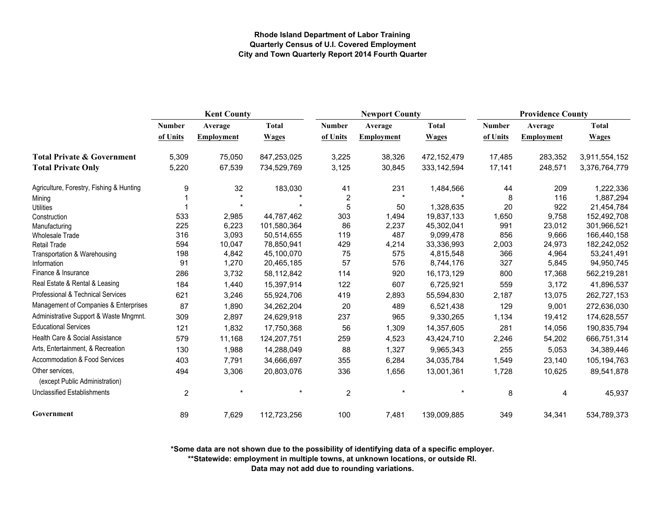|                                                   | <b>Kent County</b> |                   |              | <b>Newport County</b> |                   |               | <b>Providence County</b> |                   |               |
|---------------------------------------------------|--------------------|-------------------|--------------|-----------------------|-------------------|---------------|--------------------------|-------------------|---------------|
|                                                   | <b>Number</b>      | Average           | <b>Total</b> | <b>Number</b>         | Average           | <b>Total</b>  | <b>Number</b>            | Average           | <b>Total</b>  |
|                                                   | of Units           | <b>Employment</b> | <b>Wages</b> | of Units              | <b>Employment</b> | <b>Wages</b>  | of Units                 | <b>Employment</b> | <b>Wages</b>  |
| <b>Total Private &amp; Government</b>             | 5,309              | 75,050            | 847,253,025  | 3,225                 | 38,326            | 472,152,479   | 17,485                   | 283,352           | 3,911,554,152 |
| <b>Total Private Only</b>                         | 5,220              | 67,539            | 734,529,769  | 3,125                 | 30,845            | 333, 142, 594 | 17,141                   | 248,571           | 3,376,764,779 |
| Agriculture, Forestry, Fishing & Hunting          | 9                  | 32                | 183,030      | 41                    | 231               | 1,484,566     | 44                       | 209               | 1,222,336     |
| Mining                                            |                    |                   |              | $\overline{2}$        | $\star$           |               | 8                        | 116               | 1,887,294     |
| <b>Utilities</b>                                  |                    |                   |              | 5                     | 50                | 1,328,635     | 20                       | 922               | 21,454,784    |
| Construction                                      | 533                | 2,985             | 44,787,462   | 303                   | 1.494             | 19,837,133    | 1,650                    | 9,758             | 152,492,708   |
| Manufacturing                                     | 225                | 6,223             | 101,580,364  | 86                    | 2,237             | 45,302,041    | 991                      | 23,012            | 301,966,521   |
| <b>Wholesale Trade</b>                            | 316                | 3,093             | 50,514,655   | 119                   | 487               | 9,099,478     | 856                      | 9,666             | 166,440,158   |
| Retail Trade                                      | 594                | 10,047            | 78,850,941   | 429                   | 4,214             | 33,336,993    | 2,003                    | 24,973            | 182,242,052   |
| Transportation & Warehousing                      | 198                | 4,842             | 45,100,070   | 75                    | 575               | 4,815,548     | 366                      | 4,964             | 53,241,491    |
| Information                                       | 91                 | 1,270             | 20,465,185   | 57                    | 576               | 8,744,176     | 327                      | 5,845             | 94,950,745    |
| Finance & Insurance                               | 286                | 3,732             | 58,112,842   | 114                   | 920               | 16,173,129    | 800                      | 17,368            | 562,219,281   |
| Real Estate & Rental & Leasing                    | 184                | 1,440             | 15,397,914   | 122                   | 607               | 6,725,921     | 559                      | 3,172             | 41,896,537    |
| Professional & Technical Services                 | 621                | 3,246             | 55,924,706   | 419                   | 2,893             | 55,594,830    | 2,187                    | 13,075            | 262,727,153   |
| Management of Companies & Enterprises             | 87                 | 1,890             | 34,262,204   | 20                    | 489               | 6,521,438     | 129                      | 9,001             | 272,636,030   |
| Administrative Support & Waste Mngmnt.            | 309                | 2,897             | 24,629,918   | 237                   | 965               | 9,330,265     | 1,134                    | 19,412            | 174,628,557   |
| <b>Educational Services</b>                       | 121                | 1,832             | 17,750,368   | 56                    | 1,309             | 14,357,605    | 281                      | 14,056            | 190,835,794   |
| Health Care & Social Assistance                   | 579                | 11,168            | 124,207,751  | 259                   | 4,523             | 43,424,710    | 2,246                    | 54,202            | 666,751,314   |
| Arts, Entertainment, & Recreation                 | 130                | 1,988             | 14,288,049   | 88                    | 1,327             | 9,965,343     | 255                      | 5,053             | 34,389,446    |
| Accommodation & Food Services                     | 403                | 7,791             | 34,666,697   | 355                   | 6,284             | 34,035,784    | 1,549                    | 23,140            | 105, 194, 763 |
| Other services,<br>(except Public Administration) | 494                | 3,306             | 20,803,076   | 336                   | 1,656             | 13,001,361    | 1,728                    | 10,625            | 89,541,878    |
| <b>Unclassified Establishments</b>                | 2                  |                   |              | $\overline{2}$        | $\star$           |               | 8                        | 4                 | 45,937        |
| Government                                        | 89                 | 7,629             | 112,723,256  | 100                   | 7,481             | 139,009,885   | 349                      | 34,341            | 534,789,373   |

**\*Some data are not shown due to the possibility of identifying data of a specific employer.**

**\*\*Statewide: employment in multiple towns, at unknown locations, or outside RI.**